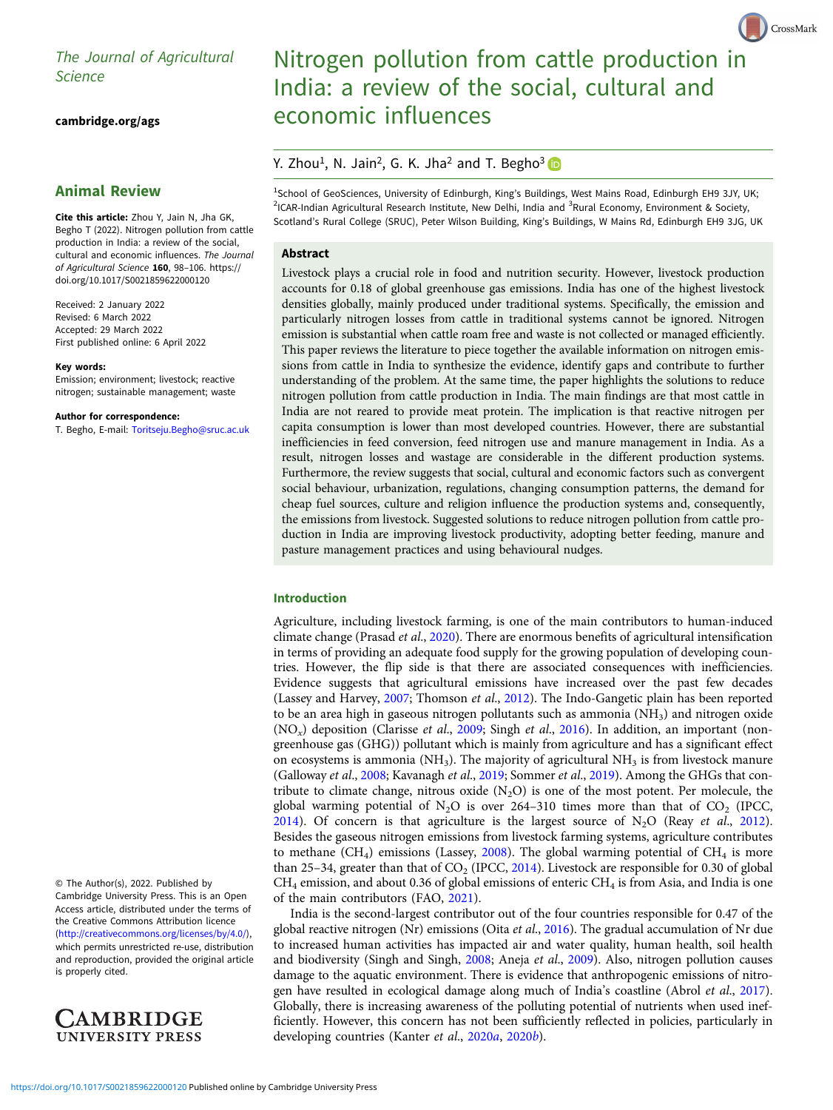# The Journal of Agricultural

[cambridge.org/ags](https://www.cambridge.org/ags)

# Animal Review

Cite this article: Zhou Y, Jain N, Jha GK, Begho T (2022). Nitrogen pollution from cattle production in India: a review of the social, cultural and economic influences. The Journal of Agricultural Science <sup>160</sup>, 98–106. [https://](https://doi.org/10.1017/S0021859622000120) [doi.org/10.1017/S0021859622000120](https://doi.org/10.1017/S0021859622000120)

Received: 2 January 2022 Revised: 6 March 2022 Accepted: 29 March 2022 First published online: 6 April 2022

#### Key words:

Emission; environment; livestock; reactive nitrogen; sustainable management; waste

#### Author for correspondence:

T. Begho, E-mail: [Toritseju.Begho@sruc.ac.uk](mailto:Toritseju.Begho@sruc.ac.uk)

© The Author(s), 2022. Published by Cambridge University Press. This is an Open Access article, distributed under the terms of the Creative Commons Attribution licence (<http://creativecommons.org/licenses/by/4.0/>), which permits unrestricted re-use, distribution and reproduction, provided the original article is properly cited.



# Nitrogen pollution from cattle production in India: a review of the social, cultural and economic influences

CrossMark

# Y. Zhou<sup>1</sup>, N. Jain<sup>2</sup>, G. K. Jha<sup>2</sup> and T. Begho<sup>3</sup>

<sup>1</sup>School of GeoSciences, University of Edinburgh, King's Buildings, West Mains Road, Edinburgh EH9 3JY, UK; <sup>2</sup>ICAR-Indian Agricultural Research Institute, New Delhi, India and <sup>3</sup>Rural Economy, Environment & Society, Scotland's Rural College (SRUC), Peter Wilson Building, King's Buildings, W Mains Rd, Edinburgh EH9 3JG, UK

# Abstract

Livestock plays a crucial role in food and nutrition security. However, livestock production accounts for 0.18 of global greenhouse gas emissions. India has one of the highest livestock densities globally, mainly produced under traditional systems. Specifically, the emission and particularly nitrogen losses from cattle in traditional systems cannot be ignored. Nitrogen emission is substantial when cattle roam free and waste is not collected or managed efficiently. This paper reviews the literature to piece together the available information on nitrogen emissions from cattle in India to synthesize the evidence, identify gaps and contribute to further understanding of the problem. At the same time, the paper highlights the solutions to reduce nitrogen pollution from cattle production in India. The main findings are that most cattle in India are not reared to provide meat protein. The implication is that reactive nitrogen per capita consumption is lower than most developed countries. However, there are substantial inefficiencies in feed conversion, feed nitrogen use and manure management in India. As a result, nitrogen losses and wastage are considerable in the different production systems. Furthermore, the review suggests that social, cultural and economic factors such as convergent social behaviour, urbanization, regulations, changing consumption patterns, the demand for cheap fuel sources, culture and religion influence the production systems and, consequently, the emissions from livestock. Suggested solutions to reduce nitrogen pollution from cattle production in India are improving livestock productivity, adopting better feeding, manure and pasture management practices and using behavioural nudges.

# Introduction

Agriculture, including livestock farming, is one of the main contributors to human-induced climate change (Prasad et al., [2020](#page-7-0)). There are enormous benefits of agricultural intensification in terms of providing an adequate food supply for the growing population of developing countries. However, the flip side is that there are associated consequences with inefficiencies. Evidence suggests that agricultural emissions have increased over the past few decades (Lassey and Harvey, [2007;](#page-7-0) Thomson et al., [2012\)](#page-8-0). The Indo-Gangetic plain has been reported to be an area high in gaseous nitrogen pollutants such as ammonia  $(NH<sub>3</sub>)$  and nitrogen oxide  $(NO<sub>x</sub>)$  deposition (Clarisse *et al.*, [2009](#page-6-0); Singh *et al.*, [2016](#page-8-0)). In addition, an important (nongreenhouse gas (GHG)) pollutant which is mainly from agriculture and has a significant effect on ecosystems is ammonia ( $NH<sub>3</sub>$ ). The majority of agricultural  $NH<sub>3</sub>$  is from livestock manure (Galloway et al., [2008](#page-6-0); Kavanagh et al., [2019;](#page-6-0) Sommer et al., [2019\)](#page-8-0). Among the GHGs that contribute to climate change, nitrous oxide  $(N_2O)$  is one of the most potent. Per molecule, the global warming potential of N<sub>2</sub>O is over 264–310 times more than that of CO<sub>2</sub> (IPCC, [2014\)](#page-6-0). Of concern is that agriculture is the largest source of  $N_2O$  (Reay *et al.*, [2012](#page-7-0)). Besides the gaseous nitrogen emissions from livestock farming systems, agriculture contributes to methane  $(CH_4)$  emissions (Lassey, [2008\)](#page-7-0). The global warming potential of  $CH_4$  is more than 25–34, greater than that of  $CO<sub>2</sub>$  (IPCC, [2014](#page-6-0)). Livestock are responsible for 0.30 of global  $CH<sub>4</sub>$  emission, and about 0.36 of global emissions of enteric  $CH<sub>4</sub>$  is from Asia, and India is one of the main contributors (FAO, [2021\)](#page-6-0).

India is the second-largest contributor out of the four countries responsible for 0.47 of the global reactive nitrogen (Nr) emissions (Oita et al., [2016](#page-7-0)). The gradual accumulation of Nr due to increased human activities has impacted air and water quality, human health, soil health and biodiversity (Singh and Singh, [2008](#page-8-0); Aneja et al., [2009](#page-6-0)). Also, nitrogen pollution causes damage to the aquatic environment. There is evidence that anthropogenic emissions of nitrogen have resulted in ecological damage along much of India's coastline (Abrol et al., [2017](#page-6-0)). Globally, there is increasing awareness of the polluting potential of nutrients when used inefficiently. However, this concern has not been sufficiently reflected in policies, particularly in developing countries (Kanter et al., [2020](#page-6-0)a, 2020b).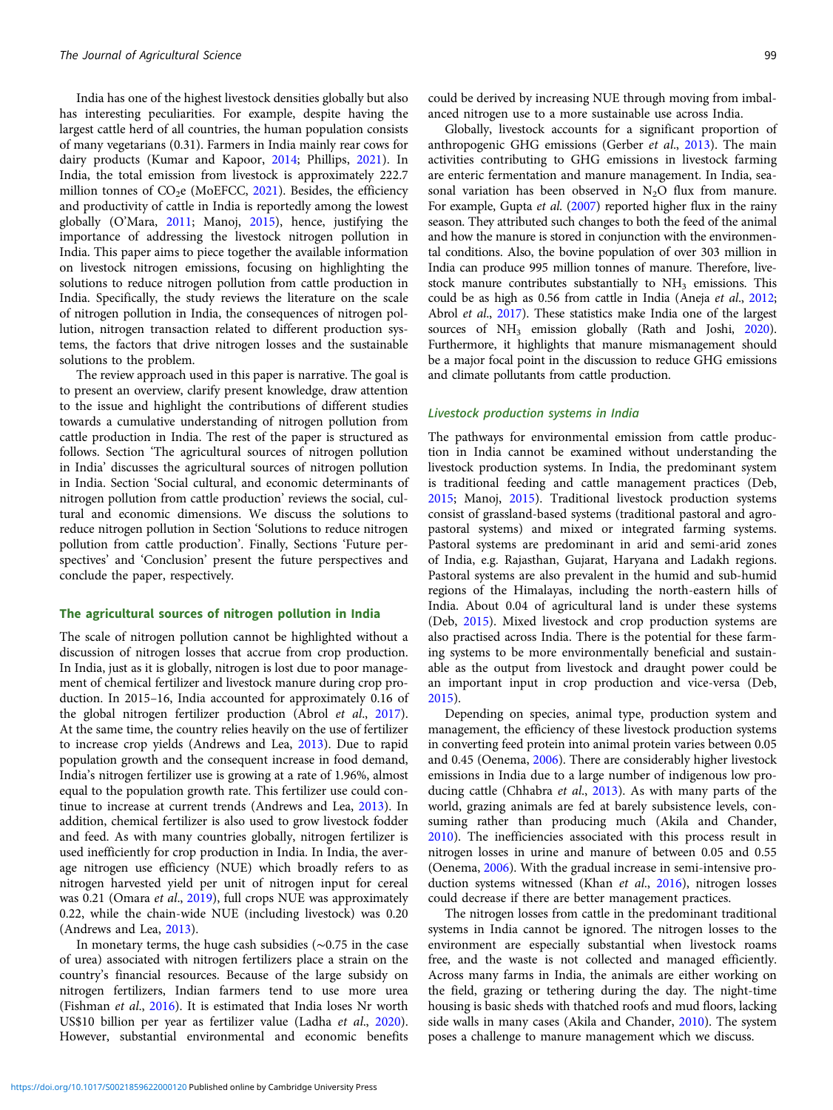India has one of the highest livestock densities globally but also has interesting peculiarities. For example, despite having the largest cattle herd of all countries, the human population consists of many vegetarians (0.31). Farmers in India mainly rear cows for dairy products (Kumar and Kapoor, [2014;](#page-7-0) Phillips, [2021](#page-7-0)). In India, the total emission from livestock is approximately 222.7 million tonnes of  $CO<sub>2</sub>e$  (MoEFCC, [2021](#page-7-0)). Besides, the efficiency and productivity of cattle in India is reportedly among the lowest globally (O'Mara, [2011](#page-7-0); Manoj, [2015\)](#page-7-0), hence, justifying the importance of addressing the livestock nitrogen pollution in India. This paper aims to piece together the available information on livestock nitrogen emissions, focusing on highlighting the solutions to reduce nitrogen pollution from cattle production in India. Specifically, the study reviews the literature on the scale of nitrogen pollution in India, the consequences of nitrogen pollution, nitrogen transaction related to different production systems, the factors that drive nitrogen losses and the sustainable solutions to the problem.

The review approach used in this paper is narrative. The goal is to present an overview, clarify present knowledge, draw attention to the issue and highlight the contributions of different studies towards a cumulative understanding of nitrogen pollution from cattle production in India. The rest of the paper is structured as follows. Section 'The agricultural sources of nitrogen pollution in India' discusses the agricultural sources of nitrogen pollution in India. Section 'Social cultural, and economic determinants of nitrogen pollution from cattle production' reviews the social, cultural and economic dimensions. We discuss the solutions to reduce nitrogen pollution in Section 'Solutions to reduce nitrogen pollution from cattle production'. Finally, Sections 'Future perspectives' and 'Conclusion' present the future perspectives and conclude the paper, respectively.

# The agricultural sources of nitrogen pollution in India

The scale of nitrogen pollution cannot be highlighted without a discussion of nitrogen losses that accrue from crop production. In India, just as it is globally, nitrogen is lost due to poor management of chemical fertilizer and livestock manure during crop production. In 2015–16, India accounted for approximately 0.16 of the global nitrogen fertilizer production (Abrol et al., [2017\)](#page-6-0). At the same time, the country relies heavily on the use of fertilizer to increase crop yields (Andrews and Lea, [2013](#page-6-0)). Due to rapid population growth and the consequent increase in food demand, India's nitrogen fertilizer use is growing at a rate of 1.96%, almost equal to the population growth rate. This fertilizer use could continue to increase at current trends (Andrews and Lea, [2013\)](#page-6-0). In addition, chemical fertilizer is also used to grow livestock fodder and feed. As with many countries globally, nitrogen fertilizer is used inefficiently for crop production in India. In India, the average nitrogen use efficiency (NUE) which broadly refers to as nitrogen harvested yield per unit of nitrogen input for cereal was 0.21 (Omara et al., [2019\)](#page-7-0), full crops NUE was approximately 0.22, while the chain-wide NUE (including livestock) was 0.20 (Andrews and Lea, [2013\)](#page-6-0).

In monetary terms, the huge cash subsidies (∼0.75 in the case of urea) associated with nitrogen fertilizers place a strain on the country's financial resources. Because of the large subsidy on nitrogen fertilizers, Indian farmers tend to use more urea (Fishman et al., [2016](#page-6-0)). It is estimated that India loses Nr worth US\$10 billion per year as fertilizer value (Ladha et al., [2020\)](#page-7-0). However, substantial environmental and economic benefits

could be derived by increasing NUE through moving from imbalanced nitrogen use to a more sustainable use across India.

Globally, livestock accounts for a significant proportion of anthropogenic GHG emissions (Gerber et al., [2013\)](#page-6-0). The main activities contributing to GHG emissions in livestock farming are enteric fermentation and manure management. In India, seasonal variation has been observed in  $N_2O$  flux from manure. For example, Gupta et al. [\(2007](#page-6-0)) reported higher flux in the rainy season. They attributed such changes to both the feed of the animal and how the manure is stored in conjunction with the environmental conditions. Also, the bovine population of over 303 million in India can produce 995 million tonnes of manure. Therefore, livestock manure contributes substantially to  $NH<sub>3</sub>$  emissions. This could be as high as 0.56 from cattle in India (Aneja et al., [2012](#page-6-0); Abrol et al., [2017](#page-6-0)). These statistics make India one of the largest sources of NH<sub>3</sub> emission globally (Rath and Joshi, [2020](#page-7-0)). Furthermore, it highlights that manure mismanagement should be a major focal point in the discussion to reduce GHG emissions and climate pollutants from cattle production.

#### Livestock production systems in India

The pathways for environmental emission from cattle production in India cannot be examined without understanding the livestock production systems. In India, the predominant system is traditional feeding and cattle management practices (Deb, [2015](#page-6-0); Manoj, [2015\)](#page-7-0). Traditional livestock production systems consist of grassland-based systems (traditional pastoral and agropastoral systems) and mixed or integrated farming systems. Pastoral systems are predominant in arid and semi-arid zones of India, e.g. Rajasthan, Gujarat, Haryana and Ladakh regions. Pastoral systems are also prevalent in the humid and sub-humid regions of the Himalayas, including the north-eastern hills of India. About 0.04 of agricultural land is under these systems (Deb, [2015\)](#page-6-0). Mixed livestock and crop production systems are also practised across India. There is the potential for these farming systems to be more environmentally beneficial and sustainable as the output from livestock and draught power could be an important input in crop production and vice-versa (Deb, [2015](#page-6-0)).

Depending on species, animal type, production system and management, the efficiency of these livestock production systems in converting feed protein into animal protein varies between 0.05 and 0.45 (Oenema, [2006](#page-7-0)). There are considerably higher livestock emissions in India due to a large number of indigenous low pro-ducing cattle (Chhabra et al., [2013\)](#page-6-0). As with many parts of the world, grazing animals are fed at barely subsistence levels, consuming rather than producing much (Akila and Chander, [2010](#page-6-0)). The inefficiencies associated with this process result in nitrogen losses in urine and manure of between 0.05 and 0.55 (Oenema, [2006](#page-7-0)). With the gradual increase in semi-intensive production systems witnessed (Khan *et al.*, [2016\)](#page-6-0), nitrogen losses could decrease if there are better management practices.

The nitrogen losses from cattle in the predominant traditional systems in India cannot be ignored. The nitrogen losses to the environment are especially substantial when livestock roams free, and the waste is not collected and managed efficiently. Across many farms in India, the animals are either working on the field, grazing or tethering during the day. The night-time housing is basic sheds with thatched roofs and mud floors, lacking side walls in many cases (Akila and Chander, [2010\)](#page-6-0). The system poses a challenge to manure management which we discuss.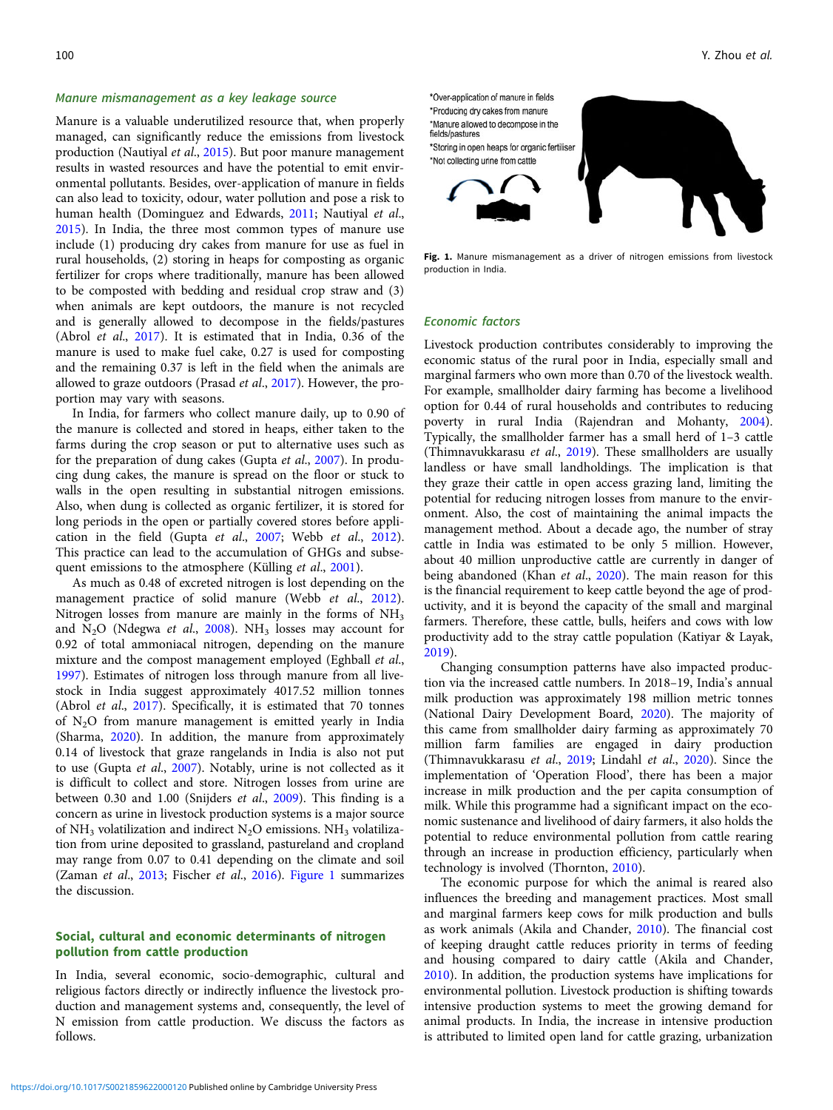#### Manure mismanagement as a key leakage source

Manure is a valuable underutilized resource that, when properly managed, can significantly reduce the emissions from livestock production (Nautiyal et al., [2015\)](#page-7-0). But poor manure management results in wasted resources and have the potential to emit environmental pollutants. Besides, over-application of manure in fields can also lead to toxicity, odour, water pollution and pose a risk to human health (Dominguez and Edwards, [2011](#page-6-0); Nautiyal et al., [2015\)](#page-7-0). In India, the three most common types of manure use include (1) producing dry cakes from manure for use as fuel in rural households, (2) storing in heaps for composting as organic fertilizer for crops where traditionally, manure has been allowed to be composted with bedding and residual crop straw and (3) when animals are kept outdoors, the manure is not recycled and is generally allowed to decompose in the fields/pastures (Abrol et al., [2017\)](#page-6-0). It is estimated that in India, 0.36 of the manure is used to make fuel cake, 0.27 is used for composting and the remaining 0.37 is left in the field when the animals are allowed to graze outdoors (Prasad et al., [2017](#page-7-0)). However, the proportion may vary with seasons.

In India, for farmers who collect manure daily, up to 0.90 of the manure is collected and stored in heaps, either taken to the farms during the crop season or put to alternative uses such as for the preparation of dung cakes (Gupta et al., [2007](#page-6-0)). In producing dung cakes, the manure is spread on the floor or stuck to walls in the open resulting in substantial nitrogen emissions. Also, when dung is collected as organic fertilizer, it is stored for long periods in the open or partially covered stores before application in the field (Gupta et al., [2007;](#page-6-0) Webb et al., [2012\)](#page-8-0). This practice can lead to the accumulation of GHGs and subse-quent emissions to the atmosphere (Külling et al., [2001](#page-7-0)).

As much as 0.48 of excreted nitrogen is lost depending on the management practice of solid manure (Webb et al., [2012\)](#page-8-0). Nitrogen losses from manure are mainly in the forms of  $NH<sub>3</sub>$ and  $N_2O$  (Ndegwa et al., [2008\)](#page-7-0). NH<sub>3</sub> losses may account for 0.92 of total ammoniacal nitrogen, depending on the manure mixture and the compost management employed (Eghball et al., [1997\)](#page-6-0). Estimates of nitrogen loss through manure from all livestock in India suggest approximately 4017.52 million tonnes (Abrol et al., [2017](#page-6-0)). Specifically, it is estimated that 70 tonnes of  $N_2O$  from manure management is emitted yearly in India (Sharma, [2020](#page-8-0)). In addition, the manure from approximately 0.14 of livestock that graze rangelands in India is also not put to use (Gupta et al., [2007\)](#page-6-0). Notably, urine is not collected as it is difficult to collect and store. Nitrogen losses from urine are between 0.30 and 1.00 (Snijders et al., [2009\)](#page-8-0). This finding is a concern as urine in livestock production systems is a major source of NH<sub>3</sub> volatilization and indirect N<sub>2</sub>O emissions. NH<sub>3</sub> volatilization from urine deposited to grassland, pastureland and cropland may range from 0.07 to 0.41 depending on the climate and soil (Zaman et al., [2013](#page-8-0); Fischer et al., [2016](#page-6-0)). Figure 1 summarizes the discussion.

# Social, cultural and economic determinants of nitrogen pollution from cattle production

In India, several economic, socio-demographic, cultural and religious factors directly or indirectly influence the livestock production and management systems and, consequently, the level of N emission from cattle production. We discuss the factors as follows.



Fig. 1. Manure mismanagement as a driver of nitrogen emissions from livestock production in India.

#### Economic factors

Livestock production contributes considerably to improving the economic status of the rural poor in India, especially small and marginal farmers who own more than 0.70 of the livestock wealth. For example, smallholder dairy farming has become a livelihood option for 0.44 of rural households and contributes to reducing poverty in rural India (Rajendran and Mohanty, [2004](#page-7-0)). Typically, the smallholder farmer has a small herd of 1–3 cattle (Thimnavukkarasu et al., [2019](#page-8-0)). These smallholders are usually landless or have small landholdings. The implication is that they graze their cattle in open access grazing land, limiting the potential for reducing nitrogen losses from manure to the environment. Also, the cost of maintaining the animal impacts the management method. About a decade ago, the number of stray cattle in India was estimated to be only 5 million. However, about 40 million unproductive cattle are currently in danger of being abandoned (Khan et al., [2020\)](#page-6-0). The main reason for this is the financial requirement to keep cattle beyond the age of productivity, and it is beyond the capacity of the small and marginal farmers. Therefore, these cattle, bulls, heifers and cows with low productivity add to the stray cattle population (Katiyar & Layak, [2019\)](#page-6-0).

Changing consumption patterns have also impacted production via the increased cattle numbers. In 2018–19, India's annual milk production was approximately 198 million metric tonnes (National Dairy Development Board, [2020\)](#page-7-0). The majority of this came from smallholder dairy farming as approximately 70 million farm families are engaged in dairy production (Thimnavukkarasu et al., [2019;](#page-8-0) Lindahl et al., [2020](#page-7-0)). Since the implementation of 'Operation Flood', there has been a major increase in milk production and the per capita consumption of milk. While this programme had a significant impact on the economic sustenance and livelihood of dairy farmers, it also holds the potential to reduce environmental pollution from cattle rearing through an increase in production efficiency, particularly when technology is involved (Thornton, [2010](#page-8-0)).

The economic purpose for which the animal is reared also influences the breeding and management practices. Most small and marginal farmers keep cows for milk production and bulls as work animals (Akila and Chander, [2010\)](#page-6-0). The financial cost of keeping draught cattle reduces priority in terms of feeding and housing compared to dairy cattle (Akila and Chander, [2010\)](#page-6-0). In addition, the production systems have implications for environmental pollution. Livestock production is shifting towards intensive production systems to meet the growing demand for animal products. In India, the increase in intensive production is attributed to limited open land for cattle grazing, urbanization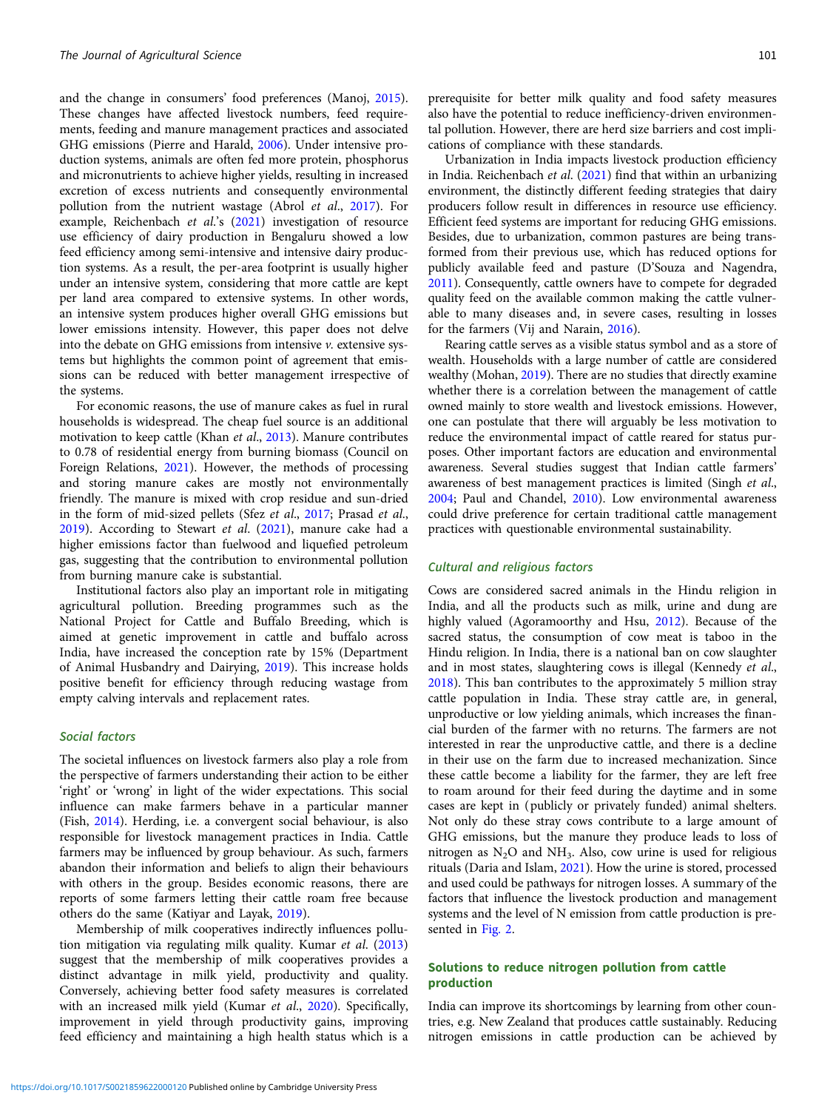and the change in consumers' food preferences (Manoj, [2015\)](#page-7-0). These changes have affected livestock numbers, feed requirements, feeding and manure management practices and associated GHG emissions (Pierre and Harald, [2006\)](#page-7-0). Under intensive production systems, animals are often fed more protein, phosphorus and micronutrients to achieve higher yields, resulting in increased excretion of excess nutrients and consequently environmental pollution from the nutrient wastage (Abrol et al., [2017\)](#page-6-0). For example, Reichenbach et al.'s [\(2021\)](#page-7-0) investigation of resource use efficiency of dairy production in Bengaluru showed a low feed efficiency among semi-intensive and intensive dairy production systems. As a result, the per-area footprint is usually higher under an intensive system, considering that more cattle are kept per land area compared to extensive systems. In other words, an intensive system produces higher overall GHG emissions but lower emissions intensity. However, this paper does not delve into the debate on GHG emissions from intensive  $\nu$ . extensive systems but highlights the common point of agreement that emissions can be reduced with better management irrespective of the systems.

For economic reasons, the use of manure cakes as fuel in rural households is widespread. The cheap fuel source is an additional motivation to keep cattle (Khan et al., [2013](#page-6-0)). Manure contributes to 0.78 of residential energy from burning biomass (Council on Foreign Relations, [2021\)](#page-6-0). However, the methods of processing and storing manure cakes are mostly not environmentally friendly. The manure is mixed with crop residue and sun-dried in the form of mid-sized pellets (Sfez et al., [2017](#page-8-0); Prasad et al., [2019\)](#page-7-0). According to Stewart et al. ([2021\)](#page-8-0), manure cake had a higher emissions factor than fuelwood and liquefied petroleum gas, suggesting that the contribution to environmental pollution from burning manure cake is substantial.

Institutional factors also play an important role in mitigating agricultural pollution. Breeding programmes such as the National Project for Cattle and Buffalo Breeding, which is aimed at genetic improvement in cattle and buffalo across India, have increased the conception rate by 15% (Department of Animal Husbandry and Dairying, [2019](#page-6-0)). This increase holds positive benefit for efficiency through reducing wastage from empty calving intervals and replacement rates.

## Social factors

The societal influences on livestock farmers also play a role from the perspective of farmers understanding their action to be either 'right' or 'wrong' in light of the wider expectations. This social influence can make farmers behave in a particular manner (Fish, [2014\)](#page-6-0). Herding, i.e. a convergent social behaviour, is also responsible for livestock management practices in India. Cattle farmers may be influenced by group behaviour. As such, farmers abandon their information and beliefs to align their behaviours with others in the group. Besides economic reasons, there are reports of some farmers letting their cattle roam free because others do the same (Katiyar and Layak, [2019](#page-6-0)).

Membership of milk cooperatives indirectly influences pollution mitigation via regulating milk quality. Kumar et al. [\(2013\)](#page-7-0) suggest that the membership of milk cooperatives provides a distinct advantage in milk yield, productivity and quality. Conversely, achieving better food safety measures is correlated with an increased milk yield (Kumar et al., [2020](#page-7-0)). Specifically, improvement in yield through productivity gains, improving feed efficiency and maintaining a high health status which is a prerequisite for better milk quality and food safety measures also have the potential to reduce inefficiency-driven environmental pollution. However, there are herd size barriers and cost implications of compliance with these standards.

Urbanization in India impacts livestock production efficiency in India. Reichenbach et al. ([2021](#page-7-0)) find that within an urbanizing environment, the distinctly different feeding strategies that dairy producers follow result in differences in resource use efficiency. Efficient feed systems are important for reducing GHG emissions. Besides, due to urbanization, common pastures are being transformed from their previous use, which has reduced options for publicly available feed and pasture (D'Souza and Nagendra, [2011](#page-6-0)). Consequently, cattle owners have to compete for degraded quality feed on the available common making the cattle vulnerable to many diseases and, in severe cases, resulting in losses for the farmers (Vij and Narain, [2016\)](#page-8-0).

Rearing cattle serves as a visible status symbol and as a store of wealth. Households with a large number of cattle are considered wealthy (Mohan, [2019\)](#page-7-0). There are no studies that directly examine whether there is a correlation between the management of cattle owned mainly to store wealth and livestock emissions. However, one can postulate that there will arguably be less motivation to reduce the environmental impact of cattle reared for status purposes. Other important factors are education and environmental awareness. Several studies suggest that Indian cattle farmers' awareness of best management practices is limited (Singh et al., [2004](#page-8-0); Paul and Chandel, [2010\)](#page-7-0). Low environmental awareness could drive preference for certain traditional cattle management practices with questionable environmental sustainability.

#### Cultural and religious factors

Cows are considered sacred animals in the Hindu religion in India, and all the products such as milk, urine and dung are highly valued (Agoramoorthy and Hsu, [2012\)](#page-6-0). Because of the sacred status, the consumption of cow meat is taboo in the Hindu religion. In India, there is a national ban on cow slaughter and in most states, slaughtering cows is illegal (Kennedy et al., [2018](#page-6-0)). This ban contributes to the approximately 5 million stray cattle population in India. These stray cattle are, in general, unproductive or low yielding animals, which increases the financial burden of the farmer with no returns. The farmers are not interested in rear the unproductive cattle, and there is a decline in their use on the farm due to increased mechanization. Since these cattle become a liability for the farmer, they are left free to roam around for their feed during the daytime and in some cases are kept in (publicly or privately funded) animal shelters. Not only do these stray cows contribute to a large amount of GHG emissions, but the manure they produce leads to loss of nitrogen as  $N_2O$  and  $NH_3$ . Also, cow urine is used for religious rituals (Daria and Islam, [2021\)](#page-6-0). How the urine is stored, processed and used could be pathways for nitrogen losses. A summary of the factors that influence the livestock production and management systems and the level of N emission from cattle production is presented in [Fig. 2](#page-4-0).

#### Solutions to reduce nitrogen pollution from cattle production

India can improve its shortcomings by learning from other countries, e.g. New Zealand that produces cattle sustainably. Reducing nitrogen emissions in cattle production can be achieved by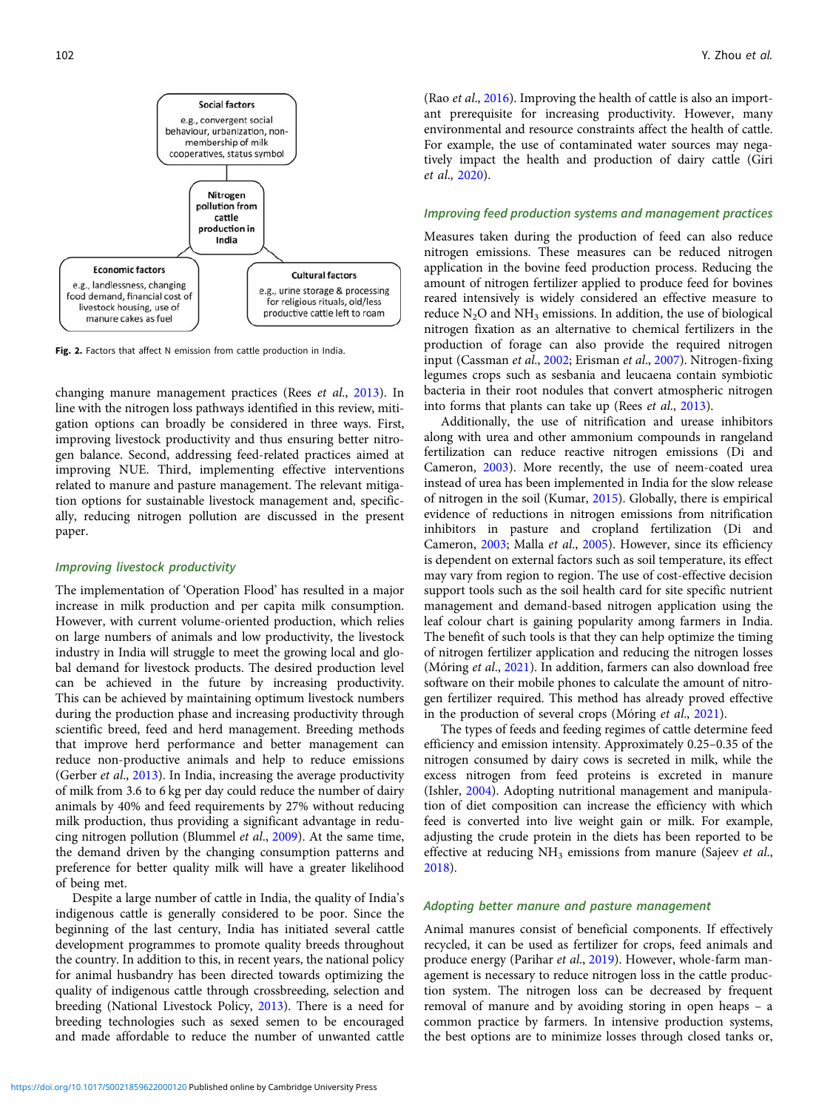<span id="page-4-0"></span>

Fig. 2. Factors that affect N emission from cattle production in India.

changing manure management practices (Rees et al., [2013](#page-7-0)). In line with the nitrogen loss pathways identified in this review, mitigation options can broadly be considered in three ways. First, improving livestock productivity and thus ensuring better nitrogen balance. Second, addressing feed-related practices aimed at improving NUE. Third, implementing effective interventions related to manure and pasture management. The relevant mitigation options for sustainable livestock management and, specifically, reducing nitrogen pollution are discussed in the present paper.

# Improving livestock productivity

The implementation of 'Operation Flood' has resulted in a major increase in milk production and per capita milk consumption. However, with current volume-oriented production, which relies on large numbers of animals and low productivity, the livestock industry in India will struggle to meet the growing local and global demand for livestock products. The desired production level can be achieved in the future by increasing productivity. This can be achieved by maintaining optimum livestock numbers during the production phase and increasing productivity through scientific breed, feed and herd management. Breeding methods that improve herd performance and better management can reduce non-productive animals and help to reduce emissions (Gerber et al., [2013](#page-6-0)). In India, increasing the average productivity of milk from 3.6 to 6 kg per day could reduce the number of dairy animals by 40% and feed requirements by 27% without reducing milk production, thus providing a significant advantage in reducing nitrogen pollution (Blummel et al., [2009\)](#page-6-0). At the same time, the demand driven by the changing consumption patterns and preference for better quality milk will have a greater likelihood of being met.

Despite a large number of cattle in India, the quality of India's indigenous cattle is generally considered to be poor. Since the beginning of the last century, India has initiated several cattle development programmes to promote quality breeds throughout the country. In addition to this, in recent years, the national policy for animal husbandry has been directed towards optimizing the quality of indigenous cattle through crossbreeding, selection and breeding (National Livestock Policy, [2013\)](#page-7-0). There is a need for breeding technologies such as sexed semen to be encouraged and made affordable to reduce the number of unwanted cattle

(Rao *et al.*, [2016](#page-7-0)). Improving the health of cattle is also an important prerequisite for increasing productivity. However, many environmental and resource constraints affect the health of cattle. For example, the use of contaminated water sources may negatively impact the health and production of dairy cattle (Giri et al., [2020\)](#page-6-0).

#### Improving feed production systems and management practices

Measures taken during the production of feed can also reduce nitrogen emissions. These measures can be reduced nitrogen application in the bovine feed production process. Reducing the amount of nitrogen fertilizer applied to produce feed for bovines reared intensively is widely considered an effective measure to reduce  $N_2O$  and  $NH_3$  emissions. In addition, the use of biological nitrogen fixation as an alternative to chemical fertilizers in the production of forage can also provide the required nitrogen input (Cassman et al., [2002;](#page-6-0) Erisman et al., [2007](#page-6-0)). Nitrogen-fixing legumes crops such as sesbania and leucaena contain symbiotic bacteria in their root nodules that convert atmospheric nitrogen into forms that plants can take up (Rees et al., [2013\)](#page-7-0).

Additionally, the use of nitrification and urease inhibitors along with urea and other ammonium compounds in rangeland fertilization can reduce reactive nitrogen emissions (Di and Cameron, [2003\)](#page-6-0). More recently, the use of neem-coated urea instead of urea has been implemented in India for the slow release of nitrogen in the soil (Kumar, [2015](#page-7-0)). Globally, there is empirical evidence of reductions in nitrogen emissions from nitrification inhibitors in pasture and cropland fertilization (Di and Cameron, [2003](#page-6-0); Malla et al., [2005\)](#page-7-0). However, since its efficiency is dependent on external factors such as soil temperature, its effect may vary from region to region. The use of cost-effective decision support tools such as the soil health card for site specific nutrient management and demand-based nitrogen application using the leaf colour chart is gaining popularity among farmers in India. The benefit of such tools is that they can help optimize the timing of nitrogen fertilizer application and reducing the nitrogen losses (Móring et al., [2021\)](#page-7-0). In addition, farmers can also download free software on their mobile phones to calculate the amount of nitrogen fertilizer required. This method has already proved effective in the production of several crops (Móring et al., [2021\)](#page-7-0).

The types of feeds and feeding regimes of cattle determine feed efficiency and emission intensity. Approximately 0.25–0.35 of the nitrogen consumed by dairy cows is secreted in milk, while the excess nitrogen from feed proteins is excreted in manure (Ishler, [2004\)](#page-6-0). Adopting nutritional management and manipulation of diet composition can increase the efficiency with which feed is converted into live weight gain or milk. For example, adjusting the crude protein in the diets has been reported to be effective at reducing NH<sub>3</sub> emissions from manure (Sajeev et al., [2018\)](#page-7-0).

#### Adopting better manure and pasture management

Animal manures consist of beneficial components. If effectively recycled, it can be used as fertilizer for crops, feed animals and produce energy (Parihar et al., [2019](#page-7-0)). However, whole-farm management is necessary to reduce nitrogen loss in the cattle production system. The nitrogen loss can be decreased by frequent removal of manure and by avoiding storing in open heaps – a common practice by farmers. In intensive production systems, the best options are to minimize losses through closed tanks or,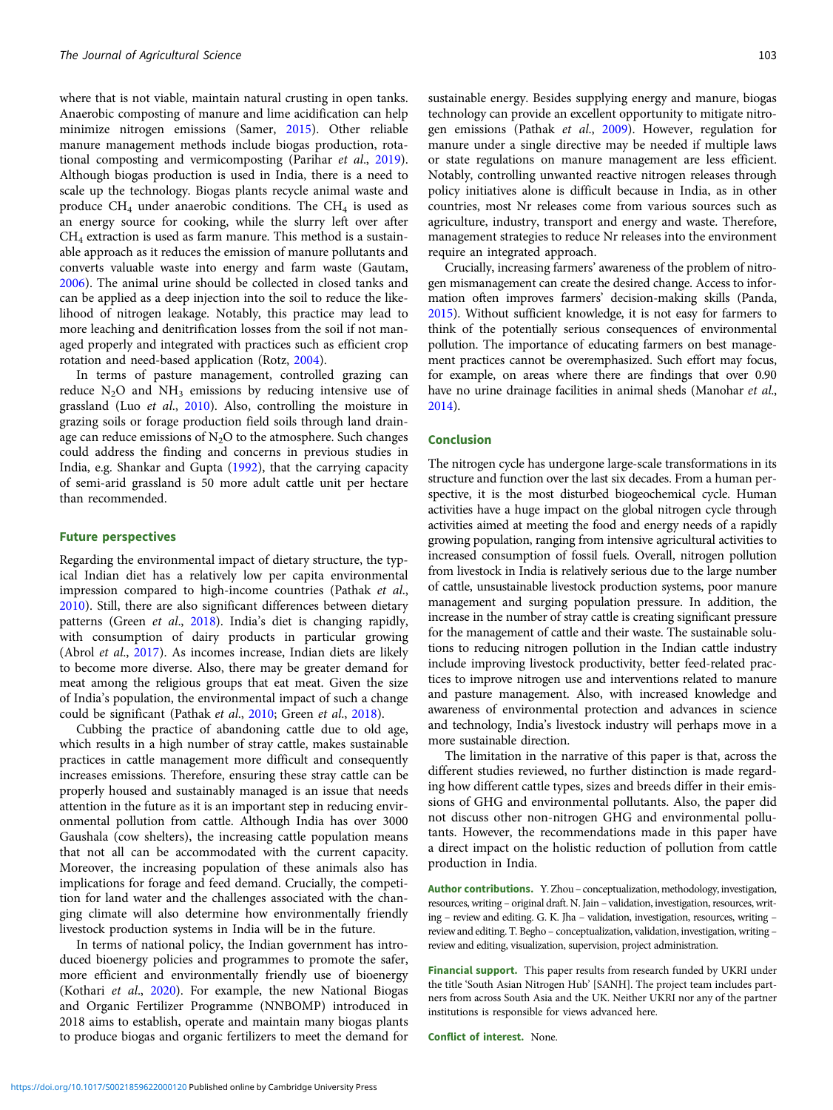where that is not viable, maintain natural crusting in open tanks. Anaerobic composting of manure and lime acidification can help minimize nitrogen emissions (Samer, [2015\)](#page-7-0). Other reliable manure management methods include biogas production, rotational composting and vermicomposting (Parihar et al., [2019\)](#page-7-0). Although biogas production is used in India, there is a need to scale up the technology. Biogas plants recycle animal waste and produce  $CH_4$  under anaerobic conditions. The  $CH_4$  is used as an energy source for cooking, while the slurry left over after  $CH<sub>4</sub>$  extraction is used as farm manure. This method is a sustainable approach as it reduces the emission of manure pollutants and converts valuable waste into energy and farm waste (Gautam, [2006\)](#page-6-0). The animal urine should be collected in closed tanks and can be applied as a deep injection into the soil to reduce the likelihood of nitrogen leakage. Notably, this practice may lead to more leaching and denitrification losses from the soil if not managed properly and integrated with practices such as efficient crop rotation and need-based application (Rotz, [2004](#page-7-0)).

In terms of pasture management, controlled grazing can reduce  $N_2O$  and  $NH_3$  emissions by reducing intensive use of grassland (Luo et al., [2010](#page-7-0)). Also, controlling the moisture in grazing soils or forage production field soils through land drainage can reduce emissions of  $N<sub>2</sub>O$  to the atmosphere. Such changes could address the finding and concerns in previous studies in India, e.g. Shankar and Gupta [\(1992](#page-8-0)), that the carrying capacity of semi-arid grassland is 50 more adult cattle unit per hectare than recommended.

#### Future perspectives

Regarding the environmental impact of dietary structure, the typical Indian diet has a relatively low per capita environmental impression compared to high-income countries (Pathak et al., [2010\)](#page-7-0). Still, there are also significant differences between dietary patterns (Green et al., [2018](#page-6-0)). India's diet is changing rapidly, with consumption of dairy products in particular growing (Abrol et al., [2017\)](#page-6-0). As incomes increase, Indian diets are likely to become more diverse. Also, there may be greater demand for meat among the religious groups that eat meat. Given the size of India's population, the environmental impact of such a change could be significant (Pathak et al., [2010;](#page-7-0) Green et al., [2018\)](#page-6-0).

Cubbing the practice of abandoning cattle due to old age, which results in a high number of stray cattle, makes sustainable practices in cattle management more difficult and consequently increases emissions. Therefore, ensuring these stray cattle can be properly housed and sustainably managed is an issue that needs attention in the future as it is an important step in reducing environmental pollution from cattle. Although India has over 3000 Gaushala (cow shelters), the increasing cattle population means that not all can be accommodated with the current capacity. Moreover, the increasing population of these animals also has implications for forage and feed demand. Crucially, the competition for land water and the challenges associated with the changing climate will also determine how environmentally friendly livestock production systems in India will be in the future.

In terms of national policy, the Indian government has introduced bioenergy policies and programmes to promote the safer, more efficient and environmentally friendly use of bioenergy (Kothari et al., [2020\)](#page-6-0). For example, the new National Biogas and Organic Fertilizer Programme (NNBOMP) introduced in 2018 aims to establish, operate and maintain many biogas plants to produce biogas and organic fertilizers to meet the demand for sustainable energy. Besides supplying energy and manure, biogas technology can provide an excellent opportunity to mitigate nitrogen emissions (Pathak et al., [2009\)](#page-7-0). However, regulation for manure under a single directive may be needed if multiple laws or state regulations on manure management are less efficient. Notably, controlling unwanted reactive nitrogen releases through policy initiatives alone is difficult because in India, as in other countries, most Nr releases come from various sources such as agriculture, industry, transport and energy and waste. Therefore, management strategies to reduce Nr releases into the environment require an integrated approach.

Crucially, increasing farmers' awareness of the problem of nitrogen mismanagement can create the desired change. Access to information often improves farmers' decision-making skills (Panda, [2015\)](#page-7-0). Without sufficient knowledge, it is not easy for farmers to think of the potentially serious consequences of environmental pollution. The importance of educating farmers on best management practices cannot be overemphasized. Such effort may focus, for example, on areas where there are findings that over 0.90 have no urine drainage facilities in animal sheds (Manohar et al., [2014](#page-7-0)).

# Conclusion

The nitrogen cycle has undergone large-scale transformations in its structure and function over the last six decades. From a human perspective, it is the most disturbed biogeochemical cycle. Human activities have a huge impact on the global nitrogen cycle through activities aimed at meeting the food and energy needs of a rapidly growing population, ranging from intensive agricultural activities to increased consumption of fossil fuels. Overall, nitrogen pollution from livestock in India is relatively serious due to the large number of cattle, unsustainable livestock production systems, poor manure management and surging population pressure. In addition, the increase in the number of stray cattle is creating significant pressure for the management of cattle and their waste. The sustainable solutions to reducing nitrogen pollution in the Indian cattle industry include improving livestock productivity, better feed-related practices to improve nitrogen use and interventions related to manure and pasture management. Also, with increased knowledge and awareness of environmental protection and advances in science and technology, India's livestock industry will perhaps move in a more sustainable direction.

The limitation in the narrative of this paper is that, across the different studies reviewed, no further distinction is made regarding how different cattle types, sizes and breeds differ in their emissions of GHG and environmental pollutants. Also, the paper did not discuss other non-nitrogen GHG and environmental pollutants. However, the recommendations made in this paper have a direct impact on the holistic reduction of pollution from cattle production in India.

Author contributions. Y. Zhou – conceptualization, methodology, investigation, resources, writing – original draft. N. Jain – validation, investigation, resources, writing – review and editing. G. K. Jha – validation, investigation, resources, writing – review and editing. T. Begho – conceptualization, validation, investigation, writing – review and editing, visualization, supervision, project administration.

Financial support. This paper results from research funded by UKRI under the title 'South Asian Nitrogen Hub' [SANH]. The project team includes partners from across South Asia and the UK. Neither UKRI nor any of the partner institutions is responsible for views advanced here.

Conflict of interest. None.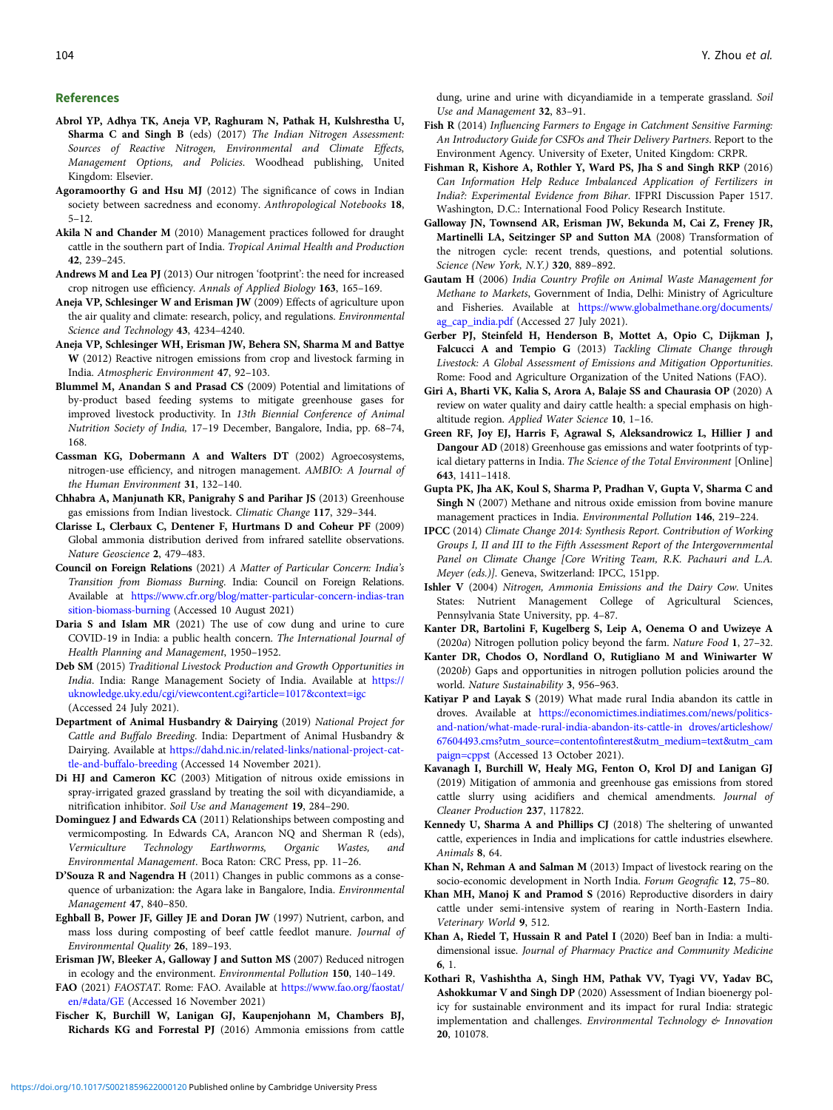#### <span id="page-6-0"></span>References

- Abrol YP, Adhya TK, Aneja VP, Raghuram N, Pathak H, Kulshrestha U, Sharma C and Singh B (eds) (2017) The Indian Nitrogen Assessment: Sources of Reactive Nitrogen, Environmental and Climate Effects, Management Options, and Policies. Woodhead publishing, United Kingdom: Elsevier.
- Agoramoorthy G and Hsu MJ (2012) The significance of cows in Indian society between sacredness and economy. Anthropological Notebooks 18, 5–12.
- Akila N and Chander M (2010) Management practices followed for draught cattle in the southern part of India. Tropical Animal Health and Production 42, 239–245.
- Andrews M and Lea PJ (2013) Our nitrogen 'footprint': the need for increased crop nitrogen use efficiency. Annals of Applied Biology 163, 165–169.
- Aneja VP, Schlesinger W and Erisman JW (2009) Effects of agriculture upon the air quality and climate: research, policy, and regulations. Environmental Science and Technology 43, 4234–4240.
- Aneja VP, Schlesinger WH, Erisman JW, Behera SN, Sharma M and Battye W (2012) Reactive nitrogen emissions from crop and livestock farming in India. Atmospheric Environment 47, 92–103.
- Blummel M, Anandan S and Prasad CS (2009) Potential and limitations of by-product based feeding systems to mitigate greenhouse gases for improved livestock productivity. In 13th Biennial Conference of Animal Nutrition Society of India, 17–19 December, Bangalore, India, pp. 68–74, 168.
- Cassman KG, Dobermann A and Walters DT (2002) Agroecosystems, nitrogen-use efficiency, and nitrogen management. AMBIO: A Journal of the Human Environment 31, 132–140.
- Chhabra A, Manjunath KR, Panigrahy S and Parihar JS (2013) Greenhouse gas emissions from Indian livestock. Climatic Change 117, 329–344.
- Clarisse L, Clerbaux C, Dentener F, Hurtmans D and Coheur PF (2009) Global ammonia distribution derived from infrared satellite observations. Nature Geoscience 2, 479–483.
- Council on Foreign Relations (2021) A Matter of Particular Concern: India's Transition from Biomass Burning. India: Council on Foreign Relations. Available at [https://www.cfr.org/blog/matter-particular-concern-indias-tran](https://www.cfr.org/blog/matter-particular-concern-indias-transition-biomass-burning) [sition-biomass-burning](https://www.cfr.org/blog/matter-particular-concern-indias-transition-biomass-burning) (Accessed 10 August 2021)
- Daria S and Islam MR (2021) The use of cow dung and urine to cure COVID-19 in India: a public health concern. The International Journal of Health Planning and Management, 1950–1952.
- Deb SM (2015) Traditional Livestock Production and Growth Opportunities in India. India: Range Management Society of India. Available at [https://](https://uknowledge.uky.edu/cgi/viewcontent.cgi?article=1017&context=igc) [uknowledge.uky.edu/cgi/viewcontent.cgi?article=1017&context=igc](https://uknowledge.uky.edu/cgi/viewcontent.cgi?article=1017&context=igc) (Accessed 24 July 2021).
- Department of Animal Husbandry & Dairying (2019) National Project for Cattle and Buffalo Breeding. India: Department of Animal Husbandry & Dairying. Available at [https://dahd.nic.in/related-links/national-project-cat](https://dahd.nic.in/related-links/national-project-cattle-and-buffalo-breeding)[tle-and-buffalo-breeding](https://dahd.nic.in/related-links/national-project-cattle-and-buffalo-breeding) (Accessed 14 November 2021).
- Di HJ and Cameron KC (2003) Mitigation of nitrous oxide emissions in spray-irrigated grazed grassland by treating the soil with dicyandiamide, a nitrification inhibitor. Soil Use and Management 19, 284–290.
- Dominguez J and Edwards CA (2011) Relationships between composting and vermicomposting. In Edwards CA, Arancon NQ and Sherman R (eds), Vermiculture Technology Earthworms, Organic Wastes, and Environmental Management. Boca Raton: CRC Press, pp. 11–26.
- D'Souza R and Nagendra H (2011) Changes in public commons as a consequence of urbanization: the Agara lake in Bangalore, India. Environmental Management 47, 840–850.
- Eghball B, Power JF, Gilley JE and Doran JW (1997) Nutrient, carbon, and mass loss during composting of beef cattle feedlot manure. Journal of Environmental Quality 26, 189–193.
- Erisman JW, Bleeker A, Galloway J and Sutton MS (2007) Reduced nitrogen in ecology and the environment. Environmental Pollution 150, 140–149.
- FAO (2021) FAOSTAT. Rome: FAO. Available at [https://www.fao.org/faostat/](https://www.fao.org/faostat/en/#data/GE) [en/#data/GE](https://www.fao.org/faostat/en/#data/GE) (Accessed 16 November 2021)
- Fischer K, Burchill W, Lanigan GJ, Kaupenjohann M, Chambers BJ, Richards KG and Forrestal PJ (2016) Ammonia emissions from cattle

dung, urine and urine with dicyandiamide in a temperate grassland. Soil Use and Management 32, 83–91.

- Fish R (2014) Influencing Farmers to Engage in Catchment Sensitive Farming: An Introductory Guide for CSFOs and Their Delivery Partners. Report to the Environment Agency. University of Exeter, United Kingdom: CRPR.
- Fishman R, Kishore A, Rothler Y, Ward PS, Jha S and Singh RKP (2016) Can Information Help Reduce Imbalanced Application of Fertilizers in India?: Experimental Evidence from Bihar. IFPRI Discussion Paper 1517. Washington, D.C.: International Food Policy Research Institute.
- Galloway JN, Townsend AR, Erisman JW, Bekunda M, Cai Z, Freney JR, Martinelli LA, Seitzinger SP and Sutton MA (2008) Transformation of the nitrogen cycle: recent trends, questions, and potential solutions. Science (New York, N.Y.) 320, 889–892.
- Gautam H (2006) India Country Profile on Animal Waste Management for Methane to Markets, Government of India, Delhi: Ministry of Agriculture and Fisheries. Available at [https://www.globalmethane.org/documents/](https://www.globalmethane.org/documents/ag_cap_india.pdf) [ag\\_cap\\_india.pdf](https://www.globalmethane.org/documents/ag_cap_india.pdf) (Accessed 27 July 2021).
- Gerber PJ, Steinfeld H, Henderson B, Mottet A, Opio C, Dijkman J, Falcucci A and Tempio G (2013) Tackling Climate Change through Livestock: A Global Assessment of Emissions and Mitigation Opportunities. Rome: Food and Agriculture Organization of the United Nations (FAO).
- Giri A, Bharti VK, Kalia S, Arora A, Balaje SS and Chaurasia OP (2020) A review on water quality and dairy cattle health: a special emphasis on highaltitude region. Applied Water Science 10, 1–16.
- Green RF, Joy EJ, Harris F, Agrawal S, Aleksandrowicz L, Hillier J and Dangour AD (2018) Greenhouse gas emissions and water footprints of typical dietary patterns in India. The Science of the Total Environment [Online] 643, 1411–1418.
- Gupta PK, Jha AK, Koul S, Sharma P, Pradhan V, Gupta V, Sharma C and Singh N (2007) Methane and nitrous oxide emission from bovine manure management practices in India. Environmental Pollution 146, 219–224.
- IPCC (2014) Climate Change 2014: Synthesis Report. Contribution of Working Groups I, II and III to the Fifth Assessment Report of the Intergovernmental Panel on Climate Change [Core Writing Team, R.K. Pachauri and L.A. Meyer (eds.)]. Geneva, Switzerland: IPCC, 151pp.
- Ishler V (2004) Nitrogen, Ammonia Emissions and the Dairy Cow. Unites States: Nutrient Management College of Agricultural Sciences, Pennsylvania State University, pp. 4–87.
- Kanter DR, Bartolini F, Kugelberg S, Leip A, Oenema O and Uwizeye A (2020a) Nitrogen pollution policy beyond the farm. Nature Food 1, 27–32.
- Kanter DR, Chodos O, Nordland O, Rutigliano M and Winiwarter W (2020b) Gaps and opportunities in nitrogen pollution policies around the world. Nature Sustainability 3, 956–963.
- Katiyar P and Layak S (2019) What made rural India abandon its cattle in droves. Available at [https://economictimes.indiatimes.com/news/politics](https://economictimes.indiatimes.com/news/politics-and-nation/what-made-rural-india-abandon-its-cattle-in droves/articleshow/67604493.cms?utm_source=contentofinterest&utm_medium=text&utm_campaign=cppst)[and-nation/what-made-rural-india-abandon-its-cattle-in droves/articleshow/](https://economictimes.indiatimes.com/news/politics-and-nation/what-made-rural-india-abandon-its-cattle-in droves/articleshow/67604493.cms?utm_source=contentofinterest&utm_medium=text&utm_campaign=cppst) [67604493.cms?utm\\_source=contentofinterest&utm\\_medium=text&utm\\_cam](https://economictimes.indiatimes.com/news/politics-and-nation/what-made-rural-india-abandon-its-cattle-in droves/articleshow/67604493.cms?utm_source=contentofinterest&utm_medium=text&utm_campaign=cppst) [paign=cppst](https://economictimes.indiatimes.com/news/politics-and-nation/what-made-rural-india-abandon-its-cattle-in droves/articleshow/67604493.cms?utm_source=contentofinterest&utm_medium=text&utm_campaign=cppst) (Accessed 13 October 2021).
- Kavanagh I, Burchill W, Healy MG, Fenton O, Krol DJ and Lanigan GJ (2019) Mitigation of ammonia and greenhouse gas emissions from stored cattle slurry using acidifiers and chemical amendments. Journal of Cleaner Production 237, 117822.
- Kennedy U, Sharma A and Phillips CJ (2018) The sheltering of unwanted cattle, experiences in India and implications for cattle industries elsewhere. Animals 8, 64.
- Khan N, Rehman A and Salman M (2013) Impact of livestock rearing on the socio-economic development in North India. Forum Geografic 12, 75–80.
- Khan MH, Manoj K and Pramod S (2016) Reproductive disorders in dairy cattle under semi-intensive system of rearing in North-Eastern India. Veterinary World 9, 512.
- Khan A, Riedel T, Hussain R and Patel I (2020) Beef ban in India: a multidimensional issue. Journal of Pharmacy Practice and Community Medicine 6, 1.
- Kothari R, Vashishtha A, Singh HM, Pathak VV, Tyagi VV, Yadav BC, Ashokkumar V and Singh DP (2020) Assessment of Indian bioenergy policy for sustainable environment and its impact for rural India: strategic implementation and challenges. Environmental Technology & Innovation 20, 101078.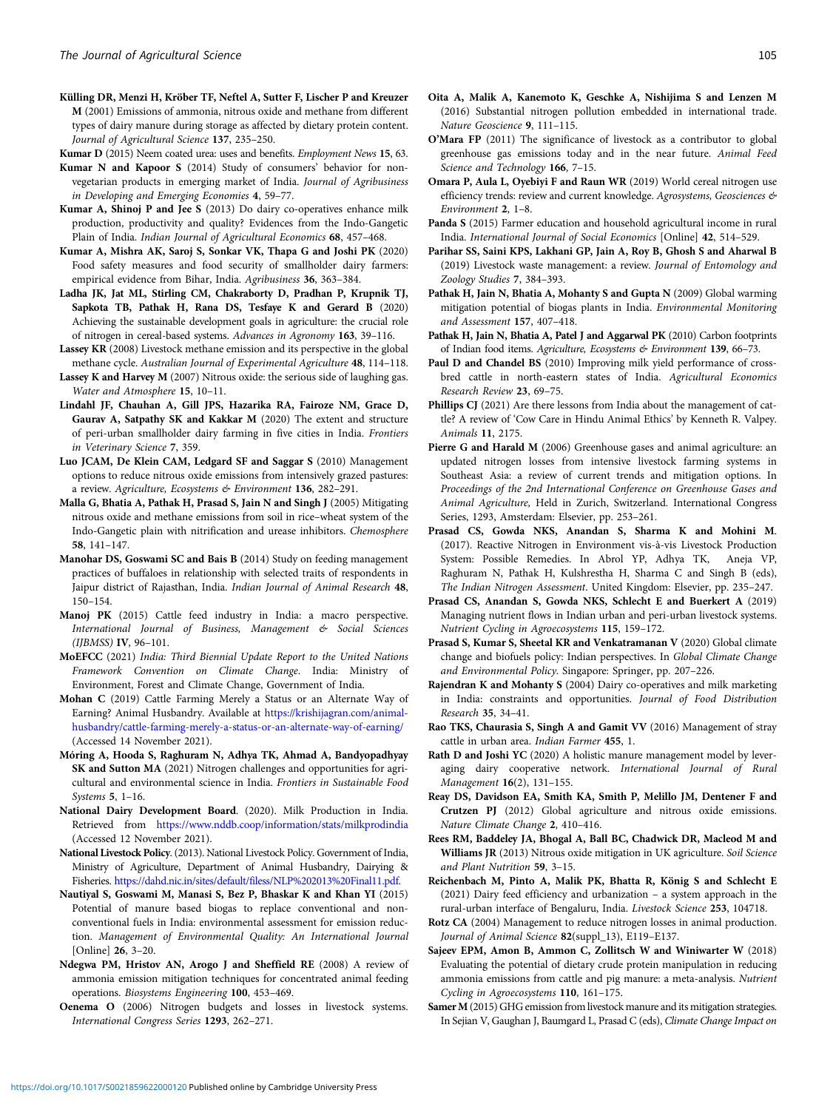<span id="page-7-0"></span>Külling DR, Menzi H, Kröber TF, Neftel A, Sutter F, Lischer P and Kreuzer M (2001) Emissions of ammonia, nitrous oxide and methane from different types of dairy manure during storage as affected by dietary protein content. Journal of Agricultural Science 137, 235–250.

Kumar D (2015) Neem coated urea: uses and benefits. Employment News 15, 63.

- Kumar N and Kapoor S (2014) Study of consumers' behavior for nonvegetarian products in emerging market of India. Journal of Agribusiness in Developing and Emerging Economies 4, 59–77.
- Kumar A, Shinoj P and Jee S (2013) Do dairy co-operatives enhance milk production, productivity and quality? Evidences from the Indo-Gangetic Plain of India. Indian Journal of Agricultural Economics 68, 457–468.
- Kumar A, Mishra AK, Saroj S, Sonkar VK, Thapa G and Joshi PK (2020) Food safety measures and food security of smallholder dairy farmers: empirical evidence from Bihar, India. Agribusiness 36, 363–384.
- Ladha JK, Jat ML, Stirling CM, Chakraborty D, Pradhan P, Krupnik TJ, Sapkota TB, Pathak H, Rana DS, Tesfaye K and Gerard B (2020) Achieving the sustainable development goals in agriculture: the crucial role of nitrogen in cereal-based systems. Advances in Agronomy 163, 39–116.
- Lassey KR (2008) Livestock methane emission and its perspective in the global methane cycle. Australian Journal of Experimental Agriculture 48, 114–118.
- Lassey K and Harvey M (2007) Nitrous oxide: the serious side of laughing gas. Water and Atmosphere 15, 10–11.
- Lindahl JF, Chauhan A, Gill JPS, Hazarika RA, Fairoze NM, Grace D, Gaurav A, Satpathy SK and Kakkar M (2020) The extent and structure of peri-urban smallholder dairy farming in five cities in India. Frontiers in Veterinary Science 7, 359.
- Luo JCAM, De Klein CAM, Ledgard SF and Saggar S (2010) Management options to reduce nitrous oxide emissions from intensively grazed pastures: a review. Agriculture, Ecosystems & Environment 136, 282-291.
- Malla G, Bhatia A, Pathak H, Prasad S, Jain N and Singh J (2005) Mitigating nitrous oxide and methane emissions from soil in rice–wheat system of the Indo-Gangetic plain with nitrification and urease inhibitors. Chemosphere 58, 141–147.
- Manohar DS, Goswami SC and Bais B (2014) Study on feeding management practices of buffaloes in relationship with selected traits of respondents in Jaipur district of Rajasthan, India. Indian Journal of Animal Research 48, 150–154.
- Manoj PK (2015) Cattle feed industry in India: a macro perspective. International Journal of Business, Management & Social Sciences (IJBMSS) IV, 96–101.
- MoEFCC (2021) India: Third Biennial Update Report to the United Nations Framework Convention on Climate Change. India: Ministry of Environment, Forest and Climate Change, Government of India.
- Mohan C (2019) Cattle Farming Merely a Status or an Alternate Way of Earning? Animal Husbandry. Available at [https://krishijagran.com/animal](https://krishijagran.com/animal-husbandry/cattle-farming-merely-a-status-or-an-alternate-way-of-earning/)[husbandry/cattle-farming-merely-a-status-or-an-alternate-way-of-earning/](https://krishijagran.com/animal-husbandry/cattle-farming-merely-a-status-or-an-alternate-way-of-earning/) (Accessed 14 November 2021).
- Móring A, Hooda S, Raghuram N, Adhya TK, Ahmad A, Bandyopadhyay SK and Sutton MA (2021) Nitrogen challenges and opportunities for agricultural and environmental science in India. Frontiers in Sustainable Food Systems 5, 1–16.
- National Dairy Development Board. (2020). Milk Production in India. Retrieved from <https://www.nddb.coop/information/stats/milkprodindia> (Accessed 12 November 2021).
- National Livestock Policy. (2013). National Livestock Policy. Government of India, Ministry of Agriculture, Department of Animal Husbandry, Dairying & Fisheries. [https://dahd.nic.in/sites/default/filess/NLP%202013%20Final11.pdf.](https://dahd.nic.in/sites/default/filess/NLP%202013%20Final11.pdf)
- Nautiyal S, Goswami M, Manasi S, Bez P, Bhaskar K and Khan YI (2015) Potential of manure based biogas to replace conventional and nonconventional fuels in India: environmental assessment for emission reduction. Management of Environmental Quality: An International Journal [Online] 26, 3–20.
- Ndegwa PM, Hristov AN, Arogo J and Sheffield RE (2008) A review of ammonia emission mitigation techniques for concentrated animal feeding operations. Biosystems Engineering 100, 453–469.
- Oenema O (2006) Nitrogen budgets and losses in livestock systems. International Congress Series 1293, 262–271.
- Oita A, Malik A, Kanemoto K, Geschke A, Nishijima S and Lenzen M (2016) Substantial nitrogen pollution embedded in international trade. Nature Geoscience 9, 111–115.
- O'Mara FP (2011) The significance of livestock as a contributor to global greenhouse gas emissions today and in the near future. Animal Feed Science and Technology 166, 7-15.
- Omara P, Aula L, Oyebiyi F and Raun WR (2019) World cereal nitrogen use efficiency trends: review and current knowledge. Agrosystems, Geosciences & Environment 2, 1–8.
- Panda S (2015) Farmer education and household agricultural income in rural India. International Journal of Social Economics [Online] 42, 514–529.
- Parihar SS, Saini KPS, Lakhani GP, Jain A, Roy B, Ghosh S and Aharwal B (2019) Livestock waste management: a review. Journal of Entomology and Zoology Studies 7, 384–393.
- Pathak H, Jain N, Bhatia A, Mohanty S and Gupta N (2009) Global warming mitigation potential of biogas plants in India. Environmental Monitoring and Assessment 157, 407–418.
- Pathak H, Jain N, Bhatia A, Patel J and Aggarwal PK (2010) Carbon footprints of Indian food items. Agriculture, Ecosystems & Environment 139, 66-73.
- Paul D and Chandel BS (2010) Improving milk yield performance of crossbred cattle in north-eastern states of India. Agricultural Economics Research Review 23, 69–75.
- Phillips CJ (2021) Are there lessons from India about the management of cattle? A review of 'Cow Care in Hindu Animal Ethics' by Kenneth R. Valpey. Animals 11, 2175.
- Pierre G and Harald M (2006) Greenhouse gases and animal agriculture: an updated nitrogen losses from intensive livestock farming systems in Southeast Asia: a review of current trends and mitigation options. In Proceedings of the 2nd International Conference on Greenhouse Gases and Animal Agriculture, Held in Zurich, Switzerland. International Congress Series, 1293, Amsterdam: Elsevier, pp. 253–261.
- Prasad CS, Gowda NKS, Anandan S, Sharma K and Mohini M. (2017). Reactive Nitrogen in Environment vis-à-vis Livestock Production System: Possible Remedies. In Abrol YP, Adhya TK, Aneja VP, Raghuram N, Pathak H, Kulshrestha H, Sharma C and Singh B (eds), The Indian Nitrogen Assessment. United Kingdom: Elsevier, pp. 235–247.
- Prasad CS, Anandan S, Gowda NKS, Schlecht E and Buerkert A (2019) Managing nutrient flows in Indian urban and peri-urban livestock systems. Nutrient Cycling in Agroecosystems 115, 159–172.
- Prasad S, Kumar S, Sheetal KR and Venkatramanan V (2020) Global climate change and biofuels policy: Indian perspectives. In Global Climate Change and Environmental Policy. Singapore: Springer, pp. 207–226.
- Rajendran K and Mohanty S (2004) Dairy co-operatives and milk marketing in India: constraints and opportunities. Journal of Food Distribution Research 35, 34–41.
- Rao TKS, Chaurasia S, Singh A and Gamit VV (2016) Management of stray cattle in urban area. Indian Farmer 455, 1.
- Rath D and Joshi YC (2020) A holistic manure management model by leveraging dairy cooperative network. International Journal of Rural Management 16(2), 131–155.
- Reay DS, Davidson EA, Smith KA, Smith P, Melillo JM, Dentener F and Crutzen PJ (2012) Global agriculture and nitrous oxide emissions. Nature Climate Change 2, 410–416.
- Rees RM, Baddeley JA, Bhogal A, Ball BC, Chadwick DR, Macleod M and Williams JR (2013) Nitrous oxide mitigation in UK agriculture. Soil Science and Plant Nutrition 59, 3–15.
- Reichenbach M, Pinto A, Malik PK, Bhatta R, König S and Schlecht E (2021) Dairy feed efficiency and urbanization – a system approach in the rural-urban interface of Bengaluru, India. Livestock Science 253, 104718.
- Rotz CA (2004) Management to reduce nitrogen losses in animal production. Journal of Animal Science 82(suppl\_13), E119–E137.
- Sajeev EPM, Amon B, Ammon C, Zollitsch W and Winiwarter W (2018) Evaluating the potential of dietary crude protein manipulation in reducing ammonia emissions from cattle and pig manure: a meta-analysis. Nutrient Cycling in Agroecosystems 110, 161–175.
- Samer M (2015) GHG emission from livestock manure and its mitigation strategies. In Sejian V, Gaughan J, Baumgard L, Prasad C (eds), Climate Change Impact on